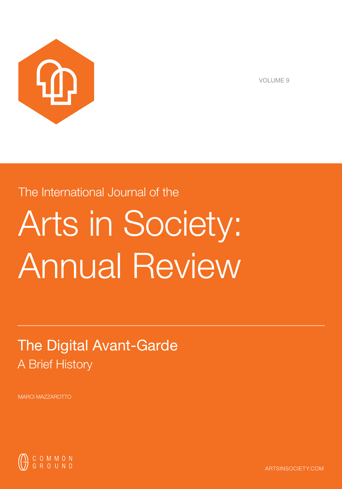

VOLUME 9

# The International Journal of the

# Arts in Society: Annual Review

 $\_$  , and the set of the set of the set of the set of the set of the set of the set of the set of the set of the set of the set of the set of the set of the set of the set of the set of the set of the set of the set of th

# The Digital Avant-Garde A Brief History

MARCI MAZZAROTTO



ARTSINSOCIETY.COM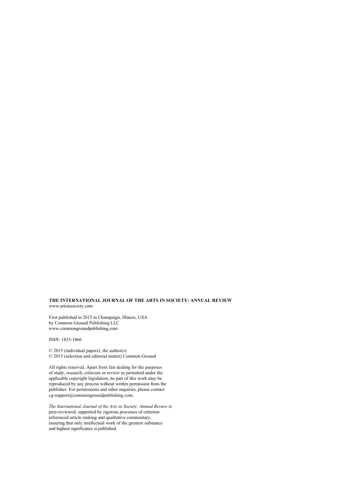#### **THE INTERNATIONAL JOURNAL OF THE ARTS IN SOCIETY: ANNUAL REVIEW** www.artsinsociety.com

First published in 2015 in Champaign, Illinois, USA by Common Ground Publishing LLC www.commongroundpublishing.com

ISSN: 1833-1866

© 2015 (individual papers), the author(s) © 2015 (selection and editorial matter) Common Ground

All rights reserved. Apart from fair dealing for the purposes of study, research, criticism or review as permitted under the applicable copyright legislation, no part of this work may be reproduced by any process without written permission from the publisher. For permissions and other inquiries, please contact cg-support@commongroundpublishing.com.

*The International Journal of the Arts in Society: Annual Review* is peer-reviewed, supported by rigorous processes of criterionreferenced article ranking and qualitative commentary, ensuring that only intellectual work of the greatest substance and highest significance is published.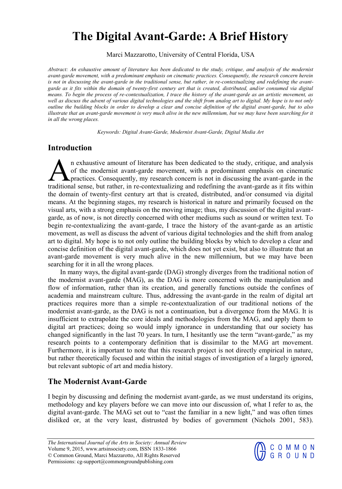# **The Digital Avant-Garde: A Brief History**

Marci Mazzarotto, University of Central Florida, USA

*Abstract: An exhaustive amount of literature has been dedicated to the study, critique, and analysis of the modernist avant-garde movement, with a predominant emphasis on cinematic practices. Consequently, the research concern herein is not in discussing the avant-garde in the traditional sense, but rather, in re-contextualizing and redefining the avantgarde as it fits within the domain of twenty-first century art that is created, distributed, and/or consumed via digital means. To begin the process of re-contextualization, I trace the history of the avant-garde as an artistic movement, as well as discuss the advent of various digital technologies and the shift from analog art to digital. My hope is to not only outline the building blocks in order to develop a clear and concise definition of the digital avant-garde, but to also illustrate that an avant-garde movement is very much alive in the new millennium, but we may have been searching for it in all the wrong places.* 

*Keywords: Digital Avant-Garde, Modernist Avant-Garde, Digital Media Art* 

## **Introduction**

n exhaustive amount of literature has been dedicated to the study, critique, and analysis of the modernist avant-garde movement, with a predominant emphasis on cinematic **A** practices. Consequently, my research concern is not in discussing the avant-garde in the In exhaustive amount of literature has been dedicated to the study, critique, and analysis of the modernist avant-garde movement, with a predominant emphasis on cinematic practices. Consequently, my research concern is not the domain of twenty-first century art that is created, distributed, and/or consumed via digital means. At the beginning stages, my research is historical in nature and primarily focused on the visual arts, with a strong emphasis on the moving image; thus, my discussion of the digital avantgarde, as of now, is not directly concerned with other mediums such as sound or written text. To begin re-contextualizing the avant-garde, I trace the history of the avant-garde as an artistic movement, as well as discuss the advent of various digital technologies and the shift from analog art to digital. My hope is to not only outline the building blocks by which to develop a clear and concise definition of the digital avant-garde, which does not yet exist, but also to illustrate that an avant-garde movement is very much alive in the new millennium, but we may have been searching for it in all the wrong places.

In many ways, the digital avant-garde (DAG) strongly diverges from the traditional notion of the modernist avant-garde (MAG), as the DAG is more concerned with the manipulation and flow of information, rather than its creation, and generally functions outside the confines of academia and mainstream culture. Thus, addressing the avant-garde in the realm of digital art practices requires more than a simple re-contextualization of our traditional notions of the modernist avant-garde, as the DAG is not a continuation, but a divergence from the MAG. It is insufficient to extrapolate the core ideals and methodologies from the MAG, and apply them to digital art practices; doing so would imply ignorance in understanding that our society has changed significantly in the last 70 years. In turn, I hesitantly use the term "avant-garde," as my research points to a contemporary definition that is dissimilar to the MAG art movement. Furthermore, it is important to note that this research project is not directly empirical in nature, but rather theoretically focused and within the initial stages of investigation of a largely ignored, but relevant subtopic of art and media history.

## **The Modernist Avant-Garde**

I begin by discussing and defining the modernist avant-garde, as we must understand its origins, methodology and key players before we can move into our discussion of, what I refer to as, the digital avant-garde. The MAG set out to "cast the familiar in a new light," and was often times disliked or, at the very least, distrusted by bodies of government (Nichols 2001, 583).

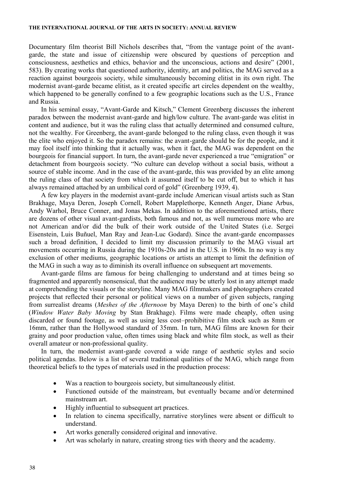Documentary film theorist Bill Nichols describes that, "from the vantage point of the avantgarde, the state and issue of citizenship were obscured by questions of perception and consciousness, aesthetics and ethics, behavior and the unconscious, actions and desire" (2001, 583). By creating works that questioned authority, identity, art and politics, the MAG served as a reaction against bourgeois society, while simultaneously becoming elitist in its own right. The modernist avant-garde became elitist, as it created specific art circles dependent on the wealthy, which happened to be generally confined to a few geographic locations such as the U.S., France and Russia.

In his seminal essay, "Avant-Garde and Kitsch," Clement Greenberg discusses the inherent paradox between the modernist avant-garde and high/low culture. The avant-garde was elitist in content and audience, but it was the ruling class that actually determined and consumed culture, not the wealthy. For Greenberg, the avant-garde belonged to the ruling class, even though it was the elite who enjoyed it. So the paradox remains: the avant-garde should be for the people, and it may fool itself into thinking that it actually was, when it fact, the MAG was dependent on the bourgeois for financial support. In turn, the avant-garde never experienced a true "emigration" or detachment from bourgeois society. "No culture can develop without a social basis, without a source of stable income. And in the case of the avant-garde, this was provided by an elite among the ruling class of that society from which it assumed itself to be cut off, but to which it has always remained attached by an umbilical cord of gold" (Greenberg 1939, 4).

A few key players in the modernist avant-garde include American visual artists such as Stan Brakhage, Maya Deren, Joseph Cornell, Robert Mapplethorpe, Kenneth Anger, Diane Arbus, Andy Warhol, Bruce Conner, and Jonas Mekas. In addition to the aforementioned artists, there are dozens of other visual avant-gardists, both famous and not, as well numerous more who are not American and/or did the bulk of their work outside of the United States (i.e. Sergei Eisenstein, Luis Buñuel, Man Ray and Jean-Luc Godard). Since the avant-garde encompasses such a broad definition, I decided to limit my discussion primarily to the MAG visual art movements occurring in Russia during the 1910s-20s and in the U.S. in 1960s. In no way is my exclusion of other mediums, geographic locations or artists an attempt to limit the definition of the MAG in such a way as to diminish its overall influence on subsequent art movements.

Avant-garde films are famous for being challenging to understand and at times being so fragmented and apparently nonsensical, that the audience may be utterly lost in any attempt made at comprehending the visuals or the storyline. Many MAG filmmakers and photographers created projects that reflected their personal or political views on a number of given subjects, ranging from surrealist dreams (*Meshes of the Afternoon* by Maya Deren) to the birth of one's child (*Window Water Baby Moving* by Stan Brakhage). Films were made cheaply, often using discarded or found footage, as well as using less cost–prohibitive film stock such as 8mm or 16mm, rather than the Hollywood standard of 35mm. In turn, MAG films are known for their grainy and poor production value, often times using black and white film stock, as well as their overall amateur or non-professional quality.

In turn, the modernist avant-garde covered a wide range of aesthetic styles and socio political agendas. Below is a list of several traditional qualities of the MAG, which range from theoretical beliefs to the types of materials used in the production process:

- Was a reaction to bourgeois society, but simultaneously elitist.
- Functioned outside of the mainstream, but eventually became and/or determined mainstream art.
- Highly influential to subsequent art practices.
- In relation to cinema specifically, narrative storylines were absent or difficult to understand.
- Art works generally considered original and innovative.
- Art was scholarly in nature, creating strong ties with theory and the academy.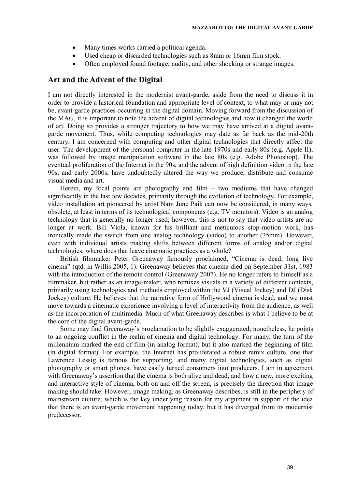- Many times works carried a political agenda.
- Used cheap or discarded technologies such as 8mm or 16mm film stock.
- Often employed found footage, nudity, and other shocking or strange images.

### **Art and the Advent of the Digital**

I am not directly interested in the modernist avant-garde, aside from the need to discuss it in order to provide a historical foundation and appropriate level of context, to what may or may not be, avant-garde practices occurring in the digital domain. Moving forward from the discussion of the MAG, it is important to note the advent of digital technologies and how it changed the world of art. Doing so provides a stronger trajectory to how we may have arrived at a digital avantgarde movement. Thus, while computing technologies may date as far back as the mid-20th century, I am concerned with computing and other digital technologies that directly affect the user. The development of the personal computer in the late 1970s and early 80s (e.g. Apple II), was followed by image manipulation software in the late 80s (e.g. Adobe Photoshop). The eventual proliferation of the Internet in the 90s, and the advent of high definition video in the late 90s, and early 2000s, have undoubtedly altered the way we produce, distribute and consume visual media and art.

Herein, my focal points are photography and film – two mediums that have changed significantly in the last few decades, primarily through the evolution of technology. For example, video installation art pioneered by artist Nam June Paik can now be considered, in many ways, obsolete, at least in terms of its technological components (e.g. TV monitors). Video is an analog technology that is generally no longer used; however, this is not to say that video artists are no longer at work. Bill Viola, known for his brilliant and meticulous stop-motion work, has ironically made the switch from one analog technology (video) to another (35mm). However, even with individual artists making shifts between different forms of analog and/or digital technologies, where does that leave cinematic practices as a whole?

British filmmaker Peter Greenaway famously proclaimed, "Cinema is dead; long live cinema" (qtd. in Willis 2005, 1). Greenaway believes that cinema died on September 31st, 1983 with the introduction of the remote control (Greenaway 2007). He no longer refers to himself as a filmmaker, but rather as an image-maker, who remixes visuals in a variety of different contexts, primarily using technologies and methods employed within the VJ (Visual Jockey) and DJ (Disk Jockey) culture. He believes that the narrative form of Hollywood cinema is dead, and we must move towards a cinematic experience involving a level of interactivity from the audience, as well as the incorporation of multimedia. Much of what Greenaway describes is what I believe to be at the core of the digital avant-garde.

Some may find Greenaway's proclamation to be slightly exaggerated; nonetheless, he points to an ongoing conflict in the realm of cinema and digital technology. For many, the turn of the millennium marked the end of film (in analog format), but it also marked the beginning of film (in digital format). For example, the Internet has proliferated a robust remix culture, one that Lawrence Lessig is famous for supporting, and many digital technologies, such as digital photography or smart phones, have easily turned consumers into producers. I am in agreement with Greenaway's assertion that the cinema is both alive and dead, and how a new, more exciting and interactive style of cinema, both on and off the screen, is precisely the direction that image making should take. However, image making, as Greenaway describes, is still in the periphery of mainstream culture, which is the key underlying reason for my argument in support of the idea that there is an avant-garde movement happening today, but it has diverged from its modernist predecessor.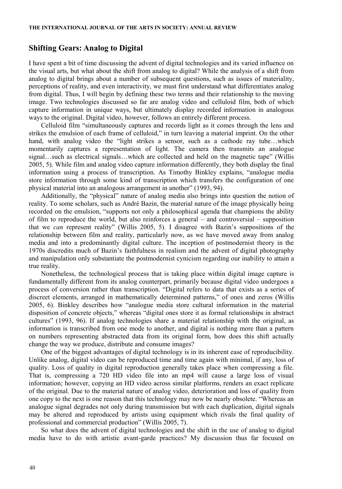#### **Shifting Gears: Analog to Digital**

I have spent a bit of time discussing the advent of digital technologies and its varied influence on the visual arts, but what about the shift from analog to digital? While the analysis of a shift from analog to digital brings about a number of subsequent questions, such as issues of materiality, perceptions of reality, and even interactivity, we must first understand what differentiates analog from digital. Thus, I will begin by defining these two terms and their relationship to the moving image. Two technologies discussed so far are analog video and celluloid film, both of which capture information in unique ways, but ultimately display recorded information in analogous ways to the original. Digital video, however, follows an entirely different process.

Celluloid film "simultaneously captures and records light as it comes through the lens and strikes the emulsion of each frame of celluloid," in turn leaving a material imprint. On the other hand, with analog video the "light strikes a sensor, such as a cathode ray tube...which momentarily captures a representation of light. The camera then transmits an analogue signal…such as electrical signals…which are collected and held on the magnetic tape" (Willis 2005, 5). While film and analog video capture information differently, they both display the final information using a process of transcription. As Timothy Binkley explains, "analogue media store information through some kind of transcription which transfers the configuration of one physical material into an analogous arrangement in another" (1993, 94).

Additionally, the "physical" nature of analog media also brings into question the notion of reality. To some scholars, such as André Bazin, the material nature of the image physically being recorded on the emulsion, "supports not only a philosophical agenda that champions the ability of film to reproduce the world, but also reinforces a general – and controversial – supposition that we *can* represent reality" (Willis 2005, 5). I disagree with Bazin's suppositions of the relationship between film and reality, particularly now, as we have moved away from analog media and into a predominantly digital culture. The inception of postmodernist theory in the 1970s discredits much of Bazin's faithfulness in realism and the advent of digital photography and manipulation only substantiate the postmodernist cynicism regarding our inability to attain a true reality.

Nonetheless, the technological process that is taking place within digital image capture is fundamentally different from its analog counterpart, primarily because digital video undergoes a process of conversion rather than transcription. "Digital refers to data that exists as a series of discreet elements, arranged in mathematically determined patterns," of ones and zeros (Willis 2005, 6). Binkley describes how "analogue media store cultural information in the material disposition of concrete objects," whereas "digital ones store it as formal relationships in abstract cultures" (1993, 96). If analog technologies share a material relationship with the original, as information is transcribed from one mode to another, and digital is nothing more than a pattern on numbers representing abstracted data from its original form, how does this shift actually change the way we produce, distribute and consume images?

One of the biggest advantages of digital technology is in its inherent ease of reproducibility. Unlike analog, digital video can be reproduced time and time again with minimal, if any, loss of quality. Loss of quality in digital reproduction generally takes place when compressing a file. That is, compressing a 720 HD video file into an mp4 will cause a large loss of visual information; however, copying an HD video across similar platforms, renders an exact replicate of the original. Due to the material nature of analog video, deterioration and loss of quality from one copy to the next is one reason that this technology may now be nearly obsolete. "Whereas an analogue signal degrades not only during transmission but with each duplication, digital signals may be altered and reproduced by artists using equipment which rivals the final quality of professional and commercial production" (Willis 2005, 7).

So what does the advent of digital technologies and the shift in the use of analog to digital media have to do with artistic avant-garde practices? My discussion thus far focused on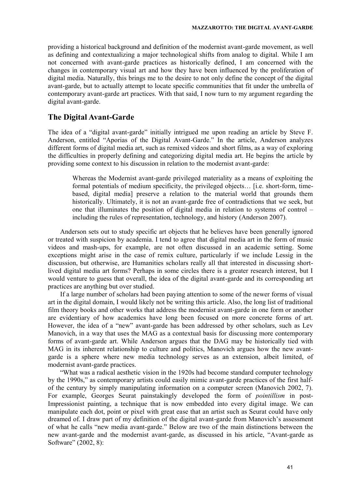providing a historical background and definition of the modernist avant-garde movement, as well as defining and contextualizing a major technological shifts from analog to digital. While I am not concerned with avant-garde practices as historically defined, I am concerned with the changes in contemporary visual art and how they have been influenced by the proliferation of digital media. Naturally, this brings me to the desire to not only define the concept of the digital avant-garde, but to actually attempt to locate specific communities that fit under the umbrella of contemporary avant-garde art practices. With that said, I now turn to my argument regarding the digital avant-garde.

## **The Digital Avant-Garde**

The idea of a "digital avant-garde" initially intrigued me upon reading an article by Steve F. Anderson, entitled "Aporias of the Digital Avant-Garde." In the article, Anderson analyzes different forms of digital media art, such as remixed videos and short films, as a way of exploring the difficulties in properly defining and categorizing digital media art. He begins the article by providing some context to his discussion in relation to the modernist avant-garde:

Whereas the Modernist avant-garde privileged materiality as a means of exploiting the formal potentials of medium specificity, the privileged objects… [i.e. short-form, timebased, digital media] preserve a relation to the material world that grounds them historically. Ultimately, it is not an avant-garde free of contradictions that we seek, but one that illuminates the position of digital media in relation to systems of control – including the rules of representation, technology, and history (Anderson 2007).

Anderson sets out to study specific art objects that he believes have been generally ignored or treated with suspicion by academia. I tend to agree that digital media art in the form of music videos and mash-ups, for example, are not often discussed in an academic setting. Some exceptions might arise in the case of remix culture, particularly if we include Lessig in the discussion, but otherwise, are Humanities scholars really all that interested in discussing shortlived digital media art forms? Perhaps in some circles there is a greater research interest, but I would venture to guess that overall, the idea of the digital avant-garde and its corresponding art practices are anything but over studied.

If a large number of scholars had been paying attention to some of the newer forms of visual art in the digital domain, I would likely not be writing this article. Also, the long list of traditional film theory books and other works that address the modernist avant-garde in one form or another are evidentiary of how academics have long been focused on more concrete forms of art. However, the idea of a "new" avant-garde has been addressed by other scholars, such as Lev Manovich, in a way that uses the MAG as a contextual basis for discussing more contemporary forms of avant-garde art. While Anderson argues that the DAG may be historically tied with MAG in its inherent relationship to culture and politics, Manovich argues how the new avantgarde is a sphere where new media technology serves as an extension, albeit limited, of modernist avant-garde practices.

"What was a radical aesthetic vision in the 1920s had become standard computer technology by the 1990s," as contemporary artists could easily mimic avant-garde practices of the first halfof the century by simply manipulating information on a computer screen (Manovich 2002, 7). For example, Georges Seurat painstakingly developed the form of *pointillism* in post-Impressionist painting, a technique that is now embedded into every digital image. We can manipulate each dot, point or pixel with great ease that an artist such as Seurat could have only dreamed of. I draw part of my definition of the digital avant-garde from Manovich's assessment of what he calls "new media avant-garde." Below are two of the main distinctions between the new avant-garde and the modernist avant-garde, as discussed in his article, "Avant-garde as Software" (2002, 8):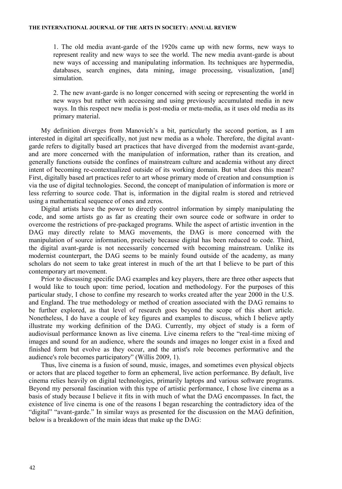1. The old media avant-garde of the 1920s came up with new forms, new ways to represent reality and new ways to see the world. The new media avant-garde is about new ways of accessing and manipulating information. Its techniques are hypermedia, databases, search engines, data mining, image processing, visualization, [and] simulation.

2. The new avant-garde is no longer concerned with seeing or representing the world in new ways but rather with accessing and using previously accumulated media in new ways. In this respect new media is post-media or meta-media, as it uses old media as its primary material.

My definition diverges from Manovich's a bit, particularly the second portion, as I am interested in digital art specifically, not just new media as a whole. Therefore, the digital avantgarde refers to digitally based art practices that have diverged from the modernist avant-garde, and are more concerned with the manipulation of information, rather than its creation, and generally functions outside the confines of mainstream culture and academia without any direct intent of becoming re-contextualized outside of its working domain. But what does this mean? First, digitally based art practices refer to art whose primary mode of creation and consumption is via the use of digital technologies. Second, the concept of manipulation of information is more or less referring to source code. That is, information in the digital realm is stored and retrieved using a mathematical sequence of ones and zeros.

Digital artists have the power to directly control information by simply manipulating the code, and some artists go as far as creating their own source code or software in order to overcome the restrictions of pre-packaged programs. While the aspect of artistic invention in the DAG may directly relate to MAG movements, the DAG is more concerned with the manipulation of source information, precisely because digital has been reduced to code. Third, the digital avant-garde is not necessarily concerned with becoming mainstream. Unlike its modernist counterpart, the DAG seems to be mainly found outside of the academy, as many scholars do not seem to take great interest in much of the art that I believe to be part of this contemporary art movement.

Prior to discussing specific DAG examples and key players, there are three other aspects that I would like to touch upon: time period, location and methodology. For the purposes of this particular study, I chose to confine my research to works created after the year 2000 in the U.S. and England. The true methodology or method of creation associated with the DAG remains to be further explored, as that level of research goes beyond the scope of this short article. Nonetheless, I do have a couple of key figures and examples to discuss, which I believe aptly illustrate my working definition of the DAG. Currently, my object of study is a form of audiovisual performance known as live cinema. Live cinema refers to the "real-time mixing of images and sound for an audience, where the sounds and images no longer exist in a fixed and finished form but evolve as they occur, and the artist's role becomes performative and the audience's role becomes participatory" (Willis 2009, 1).

Thus, live cinema is a fusion of sound, music, images, and sometimes even physical objects or actors that are placed together to form an ephemeral, live action performance. By default, live cinema relies heavily on digital technologies, primarily laptops and various software programs. Beyond my personal fascination with this type of artistic performance, I chose live cinema as a basis of study because I believe it fits in with much of what the DAG encompasses. In fact, the existence of live cinema is one of the reasons I began researching the contradictory idea of the "digital" "avant-garde." In similar ways as presented for the discussion on the MAG definition, below is a breakdown of the main ideas that make up the DAG: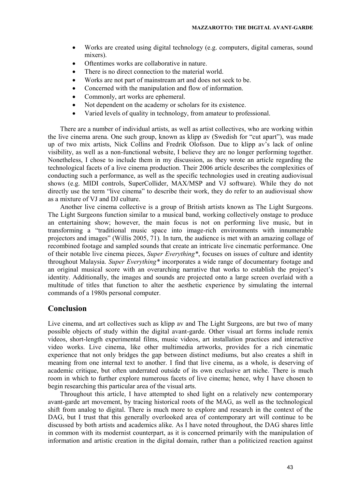- Works are created using digital technology (e.g. computers, digital cameras, sound mixers).
- Oftentimes works are collaborative in nature.
- There is no direct connection to the material world.
- Works are not part of mainstream art and does not seek to be.
- Concerned with the manipulation and flow of information.
- Commonly, art works are ephemeral.
- Not dependent on the academy or scholars for its existence.
- Varied levels of quality in technology, from amateur to professional.

There are a number of individual artists, as well as artist collectives, who are working within the live cinema arena. One such group, known as klipp av (Swedish for "cut apart"), was made up of two mix artists, Nick Collins and Fredrik Olofsson. Due to klipp av's lack of online visibility, as well as a non-functional website, I believe they are no longer performing together. Nonetheless, I chose to include them in my discussion, as they wrote an article regarding the technological facets of a live cinema production. Their 2006 article describes the complexities of conducting such a performance, as well as the specific technologies used in creating audiovisual shows (e.g. MIDI controls, SuperCollider, MAX/MSP and VJ software). While they do not directly use the term "live cinema" to describe their work, they do refer to an audiovisual show as a mixture of VJ and DJ culture.

Another live cinema collective is a group of British artists known as The Light Surgeons. The Light Surgeons function similar to a musical band, working collectively onstage to produce an entertaining show; however, the main focus is not on performing live music, but in transforming a "traditional music space into image-rich environments with innumerable projectors and images" (Willis 2005, 71). In turn, the audience is met with an amazing collage of recombined footage and sampled sounds that create an intricate live cinematic performance. One of their notable live cinema pieces, *Super Everything\**, focuses on issues of culture and identity throughout Malaysia. *Super Everything\** incorporates a wide range of documentary footage and an original musical score with an overarching narrative that works to establish the project's identity. Additionally, the images and sounds are projected onto a large screen overlaid with a multitude of titles that function to alter the aesthetic experience by simulating the internal commands of a 1980s personal computer.

### **Conclusion**

Live cinema, and art collectives such as klipp av and The Light Surgeons, are but two of many possible objects of study within the digital avant-garde. Other visual art forms include remix videos, short-length experimental films, music videos, art installation practices and interactive video works. Live cinema, like other multimedia artworks, provides for a rich cinematic experience that not only bridges the gap between distinct mediums, but also creates a shift in meaning from one internal text to another. I find that live cinema, as a whole, is deserving of academic critique, but often underrated outside of its own exclusive art niche. There is much room in which to further explore numerous facets of live cinema; hence, why I have chosen to begin researching this particular area of the visual arts.

Throughout this article, I have attempted to shed light on a relatively new contemporary avant-garde art movement, by tracing historical roots of the MAG, as well as the technological shift from analog to digital. There is much more to explore and research in the context of the DAG, but I trust that this generally overlooked area of contemporary art will continue to be discussed by both artists and academics alike. As I have noted throughout, the DAG shares little in common with its modernist counterpart, as it is concerned primarily with the manipulation of information and artistic creation in the digital domain, rather than a politicized reaction against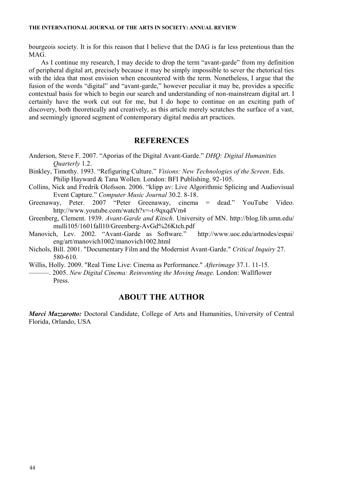#### **THE INTERNATIONAL JOURNAL OF THE ARTS IN SOCIETY: ANNUAL REVIEW**

bourgeois society. It is for this reason that I believe that the DAG is far less pretentious than the MAG.

As I continue my research, I may decide to drop the term "avant-garde" from my definition of peripheral digital art, precisely because it may be simply impossible to sever the rhetorical ties with the idea that most envision when encountered with the term. Nonetheless, I argue that the fusion of the words "digital" and "avant-garde," however peculiar it may be, provides a specific contextual basis for which to begin our search and understanding of non-mainstream digital art. I certainly have the work cut out for me, but I do hope to continue on an exciting path of discovery, both theoretically and creatively, as this article merely scratches the surface of a vast, and seemingly ignored segment of contemporary digital media art practices.

### **REFERENCES**

- Anderson, Steve F. 2007. "Aporias of the Digital Avant-Garde." *DHQ: Digital Humanities Quarterly* 1.2.
- Binkley, Timothy. 1993. "Refiguring Culture." *Visions: New Technologies of the Screen*. Eds. Philip Hayward & Tana Wollen. London: BFI Publishing. 92-105.
- Collins, Nick and Fredrik Olofsson. 2006. "klipp av: Live Algorithmic Splicing and Audiovisual Event Capture." *Computer Music Journal* 30.2. 8-18.
- Greenaway, Peter. 2007 "Peter Greenaway, cinema = dead." YouTube Video. http://www.youtube.com/watch?v=-t-9qxqdVm4
- Greenberg, Clement. 1939. *Avant-Garde and Kitsch*. University of MN. http://blog.lib.umn.edu/ mulli105/1601fall10/Greenberg-AvGd%26Ktch.pdf<br>h. Lev. 2002. "Avant-Garde as Software." http://www.uoc.edu/artnodes/espai/
- Manovich, Lev. 2002. "Avant-Garde as Software." eng/art/manovich1002/manovich1002.html
- Nichols, Bill. 2001. "Documentary Film and the Modernist Avant-Garde." *Critical Inquiry* 27. 580-610.

Willis, Holly. 2009. "Real Time Live: Cinema as Performance." *Afterimage* 37.1. 11-15. ———. 2005. *New Digital Cinema: Reinventing the Moving Image.* London: Wallflower Press.

#### **ABOUT THE AUTHOR**

*Marci Mazzarotto:* Doctoral Candidate, College of Arts and Humanities, University of Central Florida, Orlando, USA